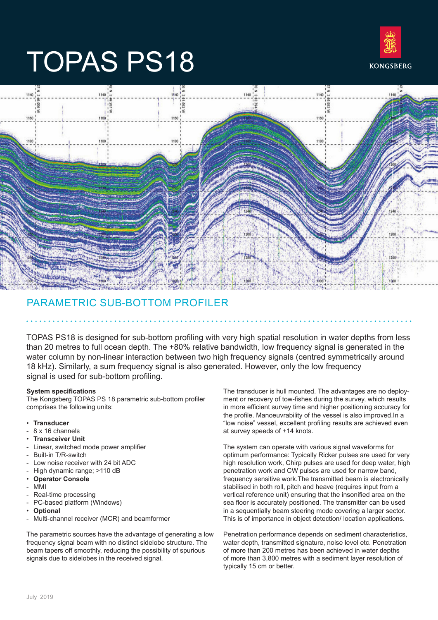

# TOPAS PS18



## PARAMETRIC SUB-BOTTOM PROFILER

TOPAS PS18 is designed for sub-bottom profiling with very high spatial resolution in water depths from less than 20 metres to full ocean depth. The +80% relative bandwidth, low frequency signal is generated in the water column by non-linear interaction between two high frequency signals (centred symmetrically around 18 kHz). Similarly, a sum frequency signal is also generated. However, only the low frequency signal is used for sub-bottom profiling.

#### **System specifications**

The Kongsberg TOPAS PS 18 parametric sub-bottom profiler comprises the following units:

- **Transducer**
- 8 x 16 channels
- **Transceiver Unit**
- Linear, switched mode power amplifier
- Built-in T/R-switch
- Low noise receiver with 24 bit ADC
- High dynamic range; >110 dB
- **Operator Console**
- MMI
- Real-time processing
- PC-based platform (Windows)
- **Optional**
- Multi-channel receiver (MCR) and beamformer

The parametric sources have the advantage of generating a low frequency signal beam with no distinct sidelobe structure. The beam tapers off smoothly, reducing the possibility of spurious signals due to sidelobes in the received signal.

The transducer is hull mounted. The advantages are no deployment or recovery of tow-fishes during the survey, which results in more efficient survey time and higher positioning accuracy for the profile. Manoeuvrability of the vessel is also improved.In a "low noise" vessel, excellent profiling results are achieved even at survey speeds of +14 knots.

The system can operate with various signal waveforms for optimum performance: Typically Ricker pulses are used for very high resolution work, Chirp pulses are used for deep water, high penetration work and CW pulses are used for narrow band, frequency sensitive work.The transmitted beam is electronically stabilised in both roll, pitch and heave (requires input from a vertical reference unit) ensuring that the insonified area on the sea floor is accurately positioned. The transmitter can be used in a sequentially beam steering mode covering a larger sector. This is of importance in object detection/ location applications.

Penetration performance depends on sediment characteristics, water depth, transmitted signature, noise level etc. Penetration of more than 200 metres has been achieved in water depths of more than 3,800 metres with a sediment layer resolution of typically 15 cm or better.